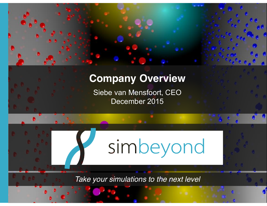

# **Company Overview**

Siebe van Mensfoort, CEO December 2015



*Take your simulations to the next level*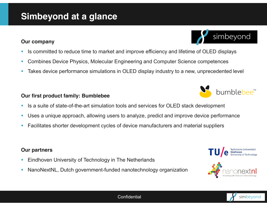Г Takes device performance simulations in OLED display industry to a new, unprecedented level

#### **Our first product family: Bumblebee**

- r. Is a suite of state-of-the-art simulation tools and services for OLED stack development
- $\overline{\phantom{a}}$ Uses a unique approach, allowing users to analyze, predict and improve device performance
- г Facilitates shorter development cycles of device manufacturers and material suppliers

#### **Our partners**

- Г Eindhoven University of Technology in The Netherlands
- г NanoNextNL, Dutch government-funded nanotechnology organization

## **Simbeyond at a glance**

#### **Our company**

- г Is committed to reduce time to market and improve efficiency and lifetime of OLED displays
- r. Combines Device Physics, Molecular Engineering and Computer Science competences
- 







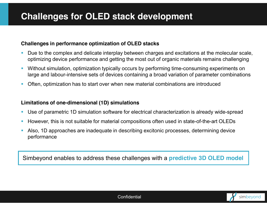#### **Challenges in performance optimization of OLED stacks**

- Г Due to the complex and delicate interplay between charges and excitations at the molecular scale, optimizing device performance and getting the most out of organic materials remains challenging
- r. Without simulation, optimization typically occurs by performing time-consuming experiments on large and labour-intensive sets of devices containing a broad variation of parameter combinations
- г Often, optimization has to start over when new material combinations are introduced

#### **Limitations of one-dimensional (1D) simulations**

- $\mathcal{L}_{\mathcal{A}}$ Use of parametric 1D simulation software for electrical characterization is already wide-spread
- r. However, this is not suitable for material compositions often used in state-of-the-art OLEDs
- r. Also, 1D approaches are inadequate in describing excitonic processes, determining device performance

Simbeyond enables to address these challenges with a **predictive 3D OLED model**

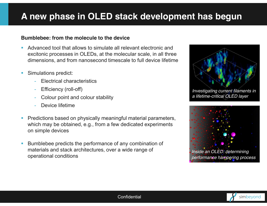### **A new phase in OLED stack development has begun**

#### **Bumblebee: from the molecule to the device**

- Г Advanced tool that allows to simulate all relevant electronic and excitonic processes in OLEDs, at the molecular scale, in all three dimensions, and from nanosecond timescale to full device lifetime
- г Simulations predict:
	- Electrical characteristics
	- Efficiency (roll-off)
	- Colour point and colour stability
	- Device lifetime
- r. Predictions based on physically meaningful material parameters, which may be obtained, e.g., from a few dedicated experiments on simple devices
- $\overline{\phantom{a}}$  Bumblebee predicts the performance of any combination of materials and stack architectures, over a wide range of operational conditions





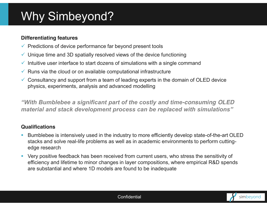# Why Simbeyond?

#### **Differentiating features**

- $\checkmark$  Predictions of device performance far beyond present tools
- $\checkmark$  Unique time and 3D spatially resolved views of the device functioning
- $\checkmark$ Intuitive user interface to start dozens of simulations with a single command
- $\checkmark$ Runs via the cloud or on available computational infrastructure
- $\checkmark$  Consultancy and support from a team of leading experts in the domain of OLED device physics, experiments, analysis and advanced modelling

*"With Bumblebee a significant part of the costly and time-consuming OLED material and stack development process can be replaced with simulations"* 

### **Qualifications**

- г Bumblebee is intensively used in the industry to more efficiently develop state-of-the-art OLED stacks and solve real-life problems as well as in academic environments to perform cuttingedge research
- $\blacksquare$  Very positive feedback has been received from current users, who stress the sensitivity of efficiency and lifetime to minor changes in layer compositions, where empirical R&D spends are substantial and where 1D models are found to be inadequate

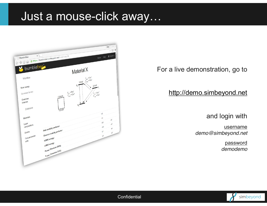# Just a mouse-click away…



For a live demonstration, go to

http://demo.simbeyond.net

and login with

username *demo@simbeyond.net*

> password *demodemo*



**Confidential**